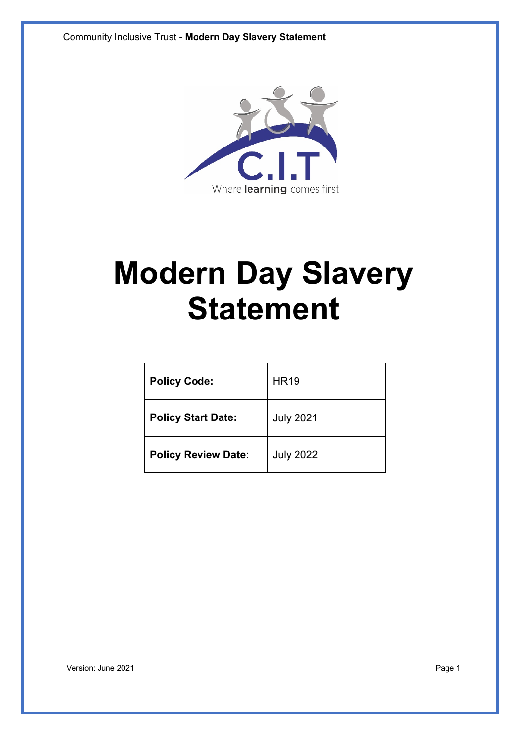

# **Modern Day Slavery Statement**

| <b>Policy Code:</b>        | <b>HR19</b>      |
|----------------------------|------------------|
| <b>Policy Start Date:</b>  | <b>July 2021</b> |
| <b>Policy Review Date:</b> | <b>July 2022</b> |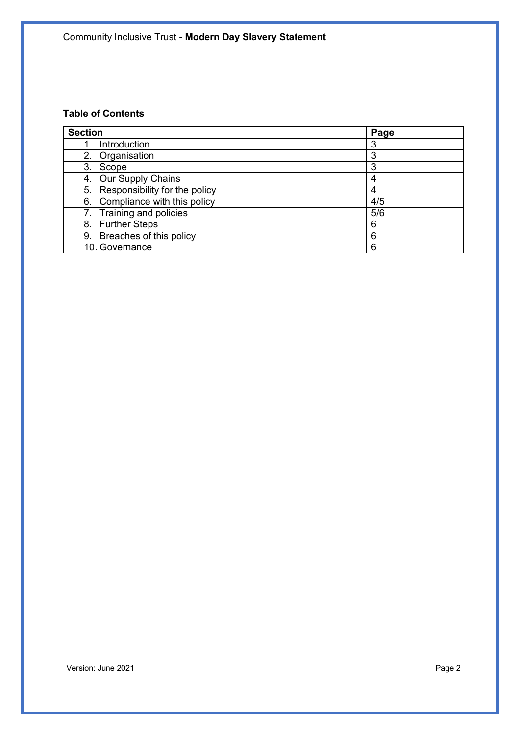# **Table of Contents**

| <b>Section</b>                   | Page |
|----------------------------------|------|
| Introduction                     | 3    |
| 2. Organisation                  | 3    |
| 3.<br>Scope                      | 3    |
| Our Supply Chains<br>4.          |      |
| 5. Responsibility for the policy | 4    |
| 6. Compliance with this policy   | 4/5  |
| 7. Training and policies         | 5/6  |
| 8. Further Steps                 | 6    |
| 9. Breaches of this policy       | 6    |
| 10. Governance                   | 6    |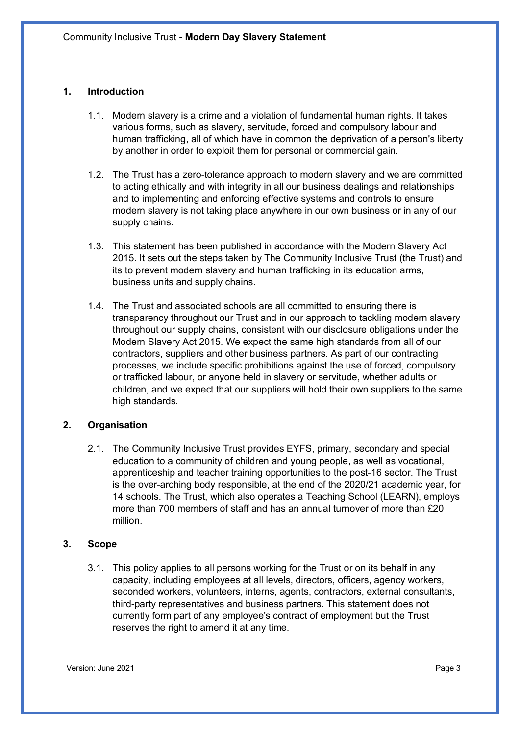#### **1. Introduction**

- 1.1. Modern slavery is a crime and a violation of fundamental human rights. It takes various forms, such as slavery, servitude, forced and compulsory labour and human trafficking, all of which have in common the deprivation of a person's liberty by another in order to exploit them for personal or commercial gain.
- 1.2. The Trust has a zero-tolerance approach to modern slavery and we are committed to acting ethically and with integrity in all our business dealings and relationships and to implementing and enforcing effective systems and controls to ensure modern slavery is not taking place anywhere in our own business or in any of our supply chains.
- 1.3. This statement has been published in accordance with the Modern Slavery Act 2015. It sets out the steps taken by The Community Inclusive Trust (the Trust) and its to prevent modern slavery and human trafficking in its education arms, business units and supply chains.
- 1.4. The Trust and associated schools are all committed to ensuring there is transparency throughout our Trust and in our approach to tackling modern slavery throughout our supply chains, consistent with our disclosure obligations under the Modern Slavery Act 2015. We expect the same high standards from all of our contractors, suppliers and other business partners. As part of our contracting processes, we include specific prohibitions against the use of forced, compulsory or trafficked labour, or anyone held in slavery or servitude, whether adults or children, and we expect that our suppliers will hold their own suppliers to the same high standards.

#### **2. Organisation**

2.1. The Community Inclusive Trust provides EYFS, primary, secondary and special education to a community of children and young people, as well as vocational, apprenticeship and teacher training opportunities to the post-16 sector. The Trust is the over-arching body responsible, at the end of the 2020/21 academic year, for 14 schools. The Trust, which also operates a Teaching School (LEARN), employs more than 700 members of staff and has an annual turnover of more than £20 million.

#### **3. Scope**

3.1. This policy applies to all persons working for the Trust or on its behalf in any capacity, including employees at all levels, directors, officers, agency workers, seconded workers, volunteers, interns, agents, contractors, external consultants, third-party representatives and business partners. This statement does not currently form part of any employee's contract of employment but the Trust reserves the right to amend it at any time.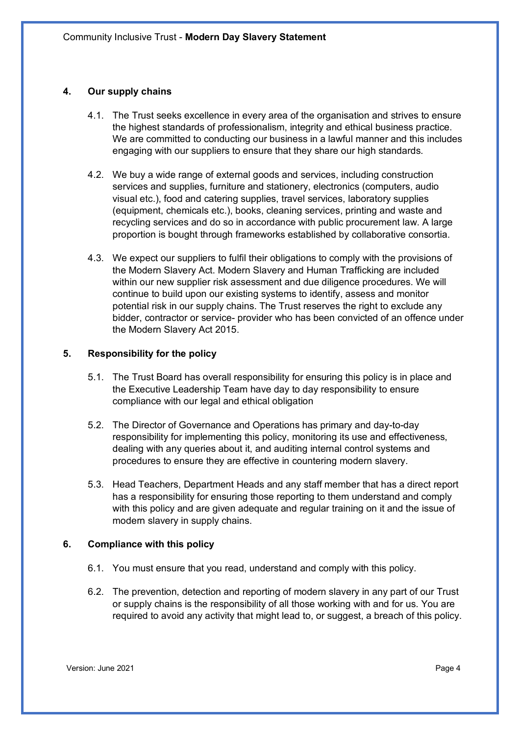## **4. Our supply chains**

- 4.1. The Trust seeks excellence in every area of the organisation and strives to ensure the highest standards of professionalism, integrity and ethical business practice. We are committed to conducting our business in a lawful manner and this includes engaging with our suppliers to ensure that they share our high standards.
- 4.2. We buy a wide range of external goods and services, including construction services and supplies, furniture and stationery, electronics (computers, audio visual etc.), food and catering supplies, travel services, laboratory supplies (equipment, chemicals etc.), books, cleaning services, printing and waste and recycling services and do so in accordance with public procurement law. A large proportion is bought through frameworks established by collaborative consortia.
- 4.3. We expect our suppliers to fulfil their obligations to comply with the provisions of the Modern Slavery Act. Modern Slavery and Human Trafficking are included within our new supplier risk assessment and due diligence procedures. We will continue to build upon our existing systems to identify, assess and monitor potential risk in our supply chains. The Trust reserves the right to exclude any bidder, contractor or service- provider who has been convicted of an offence under the Modern Slavery Act 2015.

#### **5. Responsibility for the policy**

- 5.1. The Trust Board has overall responsibility for ensuring this policy is in place and the Executive Leadership Team have day to day responsibility to ensure compliance with our legal and ethical obligation
- 5.2. The Director of Governance and Operations has primary and day-to-day responsibility for implementing this policy, monitoring its use and effectiveness, dealing with any queries about it, and auditing internal control systems and procedures to ensure they are effective in countering modern slavery.
- 5.3. Head Teachers, Department Heads and any staff member that has a direct report has a responsibility for ensuring those reporting to them understand and comply with this policy and are given adequate and regular training on it and the issue of modern slavery in supply chains.

#### **6. Compliance with this policy**

- 6.1. You must ensure that you read, understand and comply with this policy.
- 6.2. The prevention, detection and reporting of modern slavery in any part of our Trust or supply chains is the responsibility of all those working with and for us. You are required to avoid any activity that might lead to, or suggest, a breach of this policy.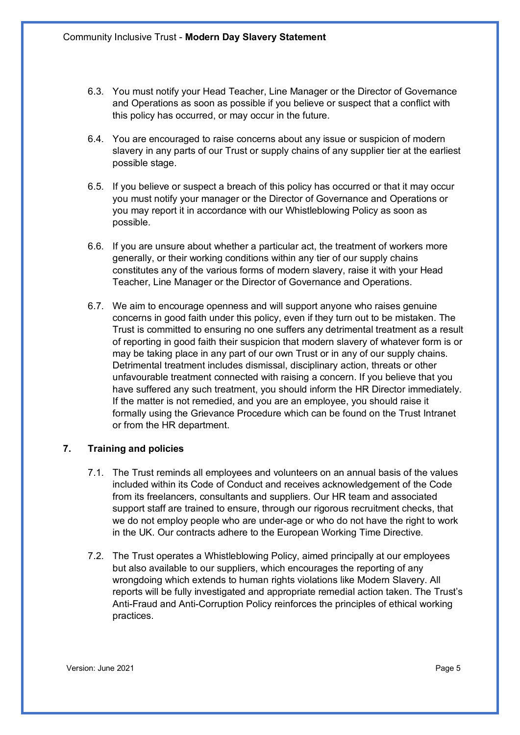- 6.3. You must notify your Head Teacher, Line Manager or the Director of Governance and Operations as soon as possible if you believe or suspect that a conflict with this policy has occurred, or may occur in the future.
- 6.4. You are encouraged to raise concerns about any issue or suspicion of modern slavery in any parts of our Trust or supply chains of any supplier tier at the earliest possible stage.
- 6.5. If you believe or suspect a breach of this policy has occurred or that it may occur you must notify your manager or the Director of Governance and Operations or you may report it in accordance with our Whistleblowing Policy as soon as possible.
- 6.6. If you are unsure about whether a particular act, the treatment of workers more generally, or their working conditions within any tier of our supply chains constitutes any of the various forms of modern slavery, raise it with your Head Teacher, Line Manager or the Director of Governance and Operations.
- 6.7. We aim to encourage openness and will support anyone who raises genuine concerns in good faith under this policy, even if they turn out to be mistaken. The Trust is committed to ensuring no one suffers any detrimental treatment as a result of reporting in good faith their suspicion that modern slavery of whatever form is or may be taking place in any part of our own Trust or in any of our supply chains. Detrimental treatment includes dismissal, disciplinary action, threats or other unfavourable treatment connected with raising a concern. If you believe that you have suffered any such treatment, you should inform the HR Director immediately. If the matter is not remedied, and you are an employee, you should raise it formally using the Grievance Procedure which can be found on the Trust Intranet or from the HR department.

#### **7. Training and policies**

- 7.1. The Trust reminds all employees and volunteers on an annual basis of the values included within its Code of Conduct and receives acknowledgement of the Code from its freelancers, consultants and suppliers. Our HR team and associated support staff are trained to ensure, through our rigorous recruitment checks, that we do not employ people who are under-age or who do not have the right to work in the UK. Our contracts adhere to the European Working Time Directive.
- 7.2. The Trust operates a Whistleblowing Policy, aimed principally at our employees but also available to our suppliers, which encourages the reporting of any wrongdoing which extends to human rights violations like Modern Slavery. All reports will be fully investigated and appropriate remedial action taken. The Trust's Anti-Fraud and Anti-Corruption Policy reinforces the principles of ethical working practices.